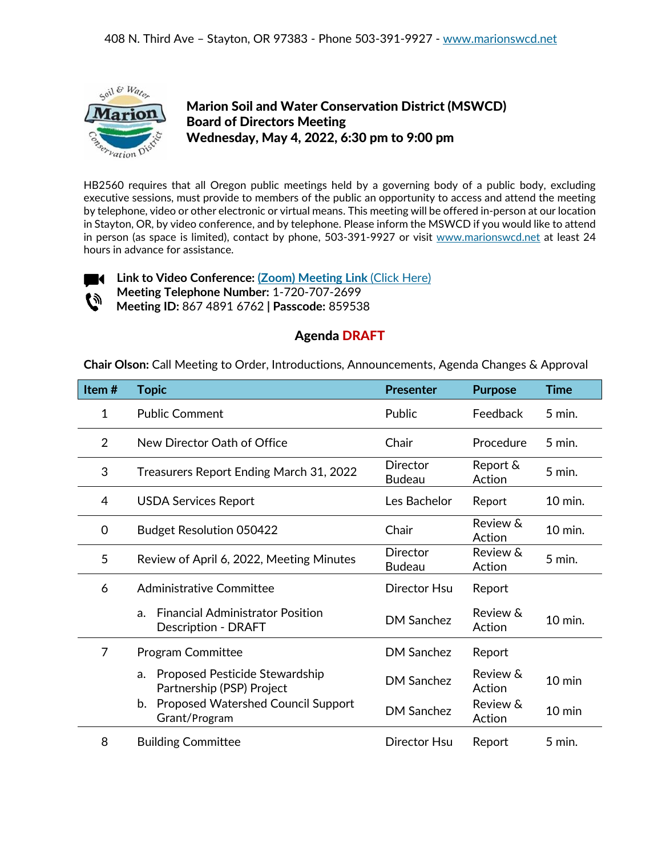

## Marion Soil and Water Conservation District (MSWCD) Board of Directors Meeting Wednesday, May 4, 2022, 6:30 pm to 9:00 pm

HB2560 requires that all Oregon public meetings held by a governing body of a public body, excluding executive sessions, must provide to members of the public an opportunity to access and attend the meeting by telephone, video or other electronic or virtual means. This meeting will be offered in-person at our location in Stayton, OR, by video conference, and by telephone. Please inform the MSWCD if you would like to attend in person (as space is limited), contact by phone, 503-391-9927 or visit [www.marionswcd.net](http://www.marionswcd.net/) at least 24 hours in advance for assistance.



**Link to Video Conference: [\(Zoom\) Meeting](https://us06web.zoom.us/j/86748916762?pwd=NW5yVzhrd1VnVFFqUW1LVnlqVlVodz09) Link** (Click Here) **Meeting Telephone Number:** 1-720-707-2699

**Meeting ID:** 867 4891 6762 **| Passcode:** 859538

## Agenda DRAFT

**Chair Olson:** Call Meeting to Order, Introductions, Announcements, Agenda Changes & Approval

| Item#          | <b>Topic</b>                                                                | <b>Presenter</b>                 | <b>Purpose</b>     | Time             |
|----------------|-----------------------------------------------------------------------------|----------------------------------|--------------------|------------------|
| $\mathbf{1}$   | <b>Public Comment</b>                                                       | Public                           | Feedback           | $5$ min.         |
| 2              | New Director Oath of Office                                                 | Chair                            | Procedure          | 5 min.           |
| 3              | Treasurers Report Ending March 31, 2022                                     | <b>Director</b><br><b>Budeau</b> | Report &<br>Action | $5$ min.         |
| 4              | <b>USDA Services Report</b>                                                 | Les Bachelor                     | Report             | 10 min.          |
| 0              | <b>Budget Resolution 050422</b>                                             | Chair                            | Review &<br>Action | 10 min.          |
| 5              | Review of April 6, 2022, Meeting Minutes                                    | <b>Director</b><br><b>Budeau</b> | Review &<br>Action | $5$ min.         |
| 6              | Administrative Committee                                                    | Director Hsu                     | Report             |                  |
|                | <b>Financial Administrator Position</b><br>a.<br><b>Description - DRAFT</b> | <b>DM Sanchez</b>                | Review &<br>Action | 10 min.          |
| $\overline{7}$ | <b>Program Committee</b>                                                    | DM Sanchez                       | Report             |                  |
|                | Proposed Pesticide Stewardship<br>a.<br>Partnership (PSP) Project           | <b>DM Sanchez</b>                | Review &<br>Action | $10 \text{ min}$ |
|                | <b>Proposed Watershed Council Support</b><br>b.<br>Grant/Program            | <b>DM Sanchez</b>                | Review &<br>Action | $10 \text{ min}$ |
| 8              | <b>Building Committee</b>                                                   | Director Hsu                     | Report             | 5 min.           |